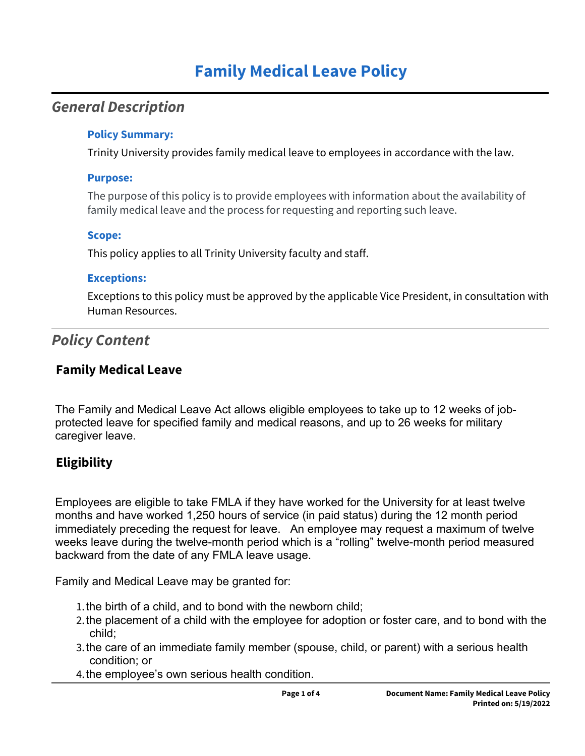# **Family Medical Leave Policy**

# *General Description*

#### **Policy Summary:**

Trinity University provides family medical leave to employees in accordance with the law.

#### **Purpose:**

The purpose of this policy is to provide employees with information about the availability of family medical leave and the process for requesting and reporting such leave.

### **Scope:**

This policy applies to all Trinity University faculty and staff.

### **Exceptions:**

Exceptions to this policy must be approved by the applicable Vice President, in consultation with Human Resources.

# *Policy Content*

# **Family Medical Leave**

The Family and Medical Leave Act allows eligible employees to take up to 12 weeks of jobprotected leave for specified family and medical reasons, and up to 26 weeks for military caregiver leave.

# **Eligibility**

Employees are eligible to take FMLA if they have worked for the University for at least twelve months and have worked 1,250 hours of service (in paid status) during the 12 month period immediately preceding the request for leave. An employee may request a maximum of twelve weeks leave during the twelve-month period which is a "rolling" twelve-month period measured backward from the date of any FMLA leave usage.

Family and Medical Leave may be granted for:

- 1.the birth of a child, and to bond with the newborn child;
- 2.the placement of a child with the employee for adoption or foster care, and to bond with the child;
- 3.the care of an immediate family member (spouse, child, or parent) with a serious health condition; or
- 4.the employee's own serious health condition.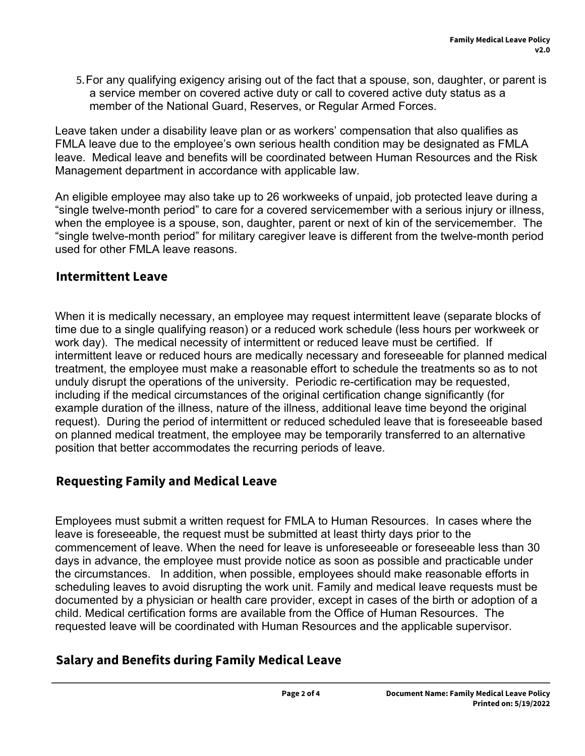5.For any qualifying exigency arising out of the fact that a spouse, son, daughter, or parent is a service member on covered active duty or call to covered active duty status as a member of the National Guard, Reserves, or Regular Armed Forces.

Leave taken under a disability leave plan or as workers' compensation that also qualifies as FMLA leave due to the employee's own serious health condition may be designated as FMLA leave. Medical leave and benefits will be coordinated between Human Resources and the Risk Management department in accordance with applicable law.

An eligible employee may also take up to 26 workweeks of unpaid, job protected leave during a "single twelve-month period" to care for a covered servicemember with a serious injury or illness, when the employee is a spouse, son, daughter, parent or next of kin of the servicemember. The "single twelve-month period" for military caregiver leave is different from the twelve-month period used for other FMLA leave reasons.

### **Intermittent Leave**

When it is medically necessary, an employee may request intermittent leave (separate blocks of time due to a single qualifying reason) or a reduced work schedule (less hours per workweek or work day). The medical necessity of intermittent or reduced leave must be certified. If intermittent leave or reduced hours are medically necessary and foreseeable for planned medical treatment, the employee must make a reasonable effort to schedule the treatments so as to not unduly disrupt the operations of the university. Periodic re-certification may be requested, including if the medical circumstances of the original certification change significantly (for example duration of the illness, nature of the illness, additional leave time beyond the original request). During the period of intermittent or reduced scheduled leave that is foreseeable based on planned medical treatment, the employee may be temporarily transferred to an alternative position that better accommodates the recurring periods of leave.

## **Requesting Family and Medical Leave**

Employees must submit a written request for FMLA to Human Resources. In cases where the leave is foreseeable, the request must be submitted at least thirty days prior to the commencement of leave. When the need for leave is unforeseeable or foreseeable less than 30 days in advance, the employee must provide notice as soon as possible and practicable under the circumstances. In addition, when possible, employees should make reasonable efforts in scheduling leaves to avoid disrupting the work unit. Family and medical leave requests must be documented by a physician or health care provider, except in cases of the birth or adoption of a child. Medical certification forms are available from the Office of Human Resources. The requested leave will be coordinated with Human Resources and the applicable supervisor.

## **Salary and Benefits during Family Medical Leave**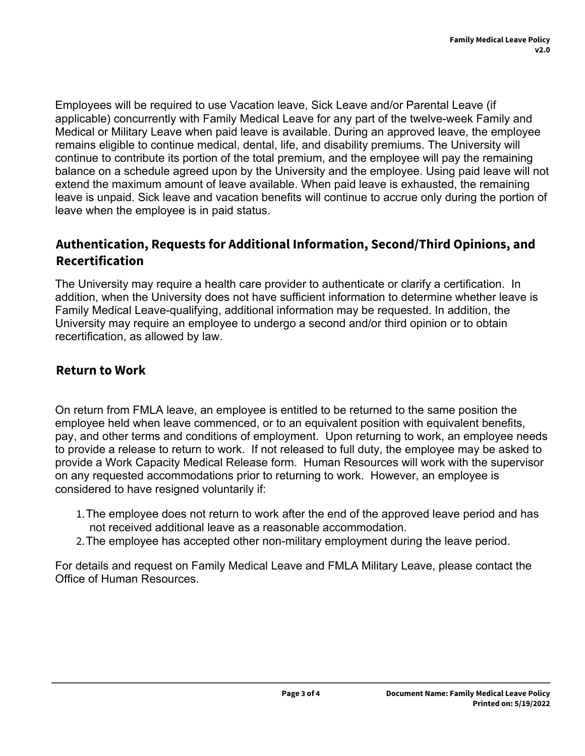Employees will be required to use Vacation leave, Sick Leave and/or Parental Leave (if applicable) concurrently with Family Medical Leave for any part of the twelve-week Family and Medical or Military Leave when paid leave is available. During an approved leave, the employee remains eligible to continue medical, dental, life, and disability premiums. The University will continue to contribute its portion of the total premium, and the employee will pay the remaining balance on a schedule agreed upon by the University and the employee. Using paid leave will not extend the maximum amount of leave available. When paid leave is exhausted, the remaining leave is unpaid. Sick leave and vacation benefits will continue to accrue only during the portion of leave when the employee is in paid status.

# **Authentication, Requests for Additional Information, Second/Third Opinions, and Recertification**

The University may require a health care provider to authenticate or clarify a certification. In addition, when the University does not have sufficient information to determine whether leave is Family Medical Leave-qualifying, additional information may be requested. In addition, the University may require an employee to undergo a second and/or third opinion or to obtain recertification, as allowed by law.

### **Return to Work**

On return from FMLA leave, an employee is entitled to be returned to the same position the employee held when leave commenced, or to an equivalent position with equivalent benefits, pay, and other terms and conditions of employment. Upon returning to work, an employee needs to provide a release to return to work. If not released to full duty, the employee may be asked to provide a Work Capacity Medical Release form. Human Resources will work with the supervisor on any requested accommodations prior to returning to work. However, an employee is considered to have resigned voluntarily if:

- 1.The employee does not return to work after the end of the approved leave period and has not received additional leave as a reasonable accommodation.
- 2.The employee has accepted other non-military employment during the leave period.

For details and request on Family Medical Leave and FMLA Military Leave, please contact the Office of Human Resources.